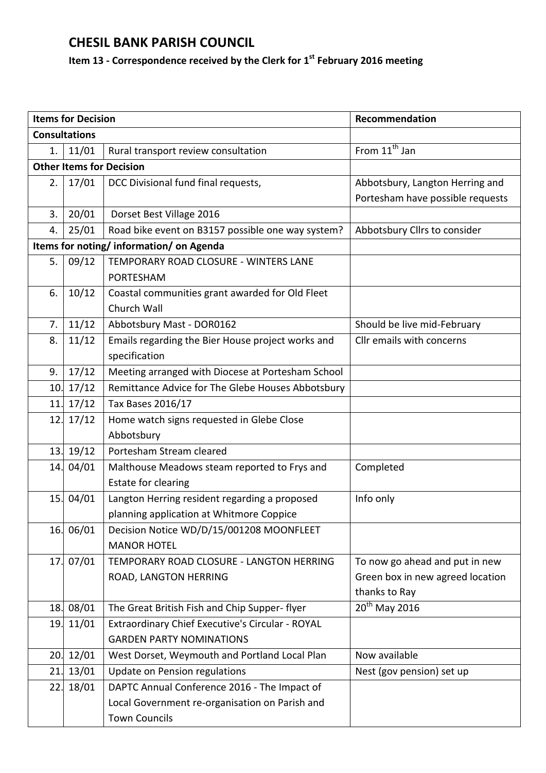## **CHESIL BANK PARISH COUNCIL**

## **Item 13 - Correspondence received by the Clerk for 1 st February 2016 meeting**

|                      | <b>Items for Decision</b> |                                                   | Recommendation                   |  |  |
|----------------------|---------------------------|---------------------------------------------------|----------------------------------|--|--|
| <b>Consultations</b> |                           |                                                   |                                  |  |  |
| 1.                   | 11/01                     | Rural transport review consultation               | From 11 <sup>th</sup> Jan        |  |  |
|                      |                           | <b>Other Items for Decision</b>                   |                                  |  |  |
| 2.                   | 17/01                     | DCC Divisional fund final requests,               | Abbotsbury, Langton Herring and  |  |  |
|                      |                           |                                                   | Portesham have possible requests |  |  |
| 3.                   | 20/01                     | Dorset Best Village 2016                          |                                  |  |  |
| 4.                   | 25/01                     | Road bike event on B3157 possible one way system? | Abbotsbury Cllrs to consider     |  |  |
|                      |                           | Items for noting/information/on Agenda            |                                  |  |  |
| 5.                   | 09/12                     | TEMPORARY ROAD CLOSURE - WINTERS LANE             |                                  |  |  |
|                      |                           | <b>PORTESHAM</b>                                  |                                  |  |  |
| 6.                   | 10/12                     | Coastal communities grant awarded for Old Fleet   |                                  |  |  |
|                      |                           | Church Wall                                       |                                  |  |  |
| 7.                   | 11/12                     | Abbotsbury Mast - DOR0162                         | Should be live mid-February      |  |  |
| 8.                   | 11/12                     | Emails regarding the Bier House project works and | Cllr emails with concerns        |  |  |
|                      |                           | specification                                     |                                  |  |  |
| 9.                   | 17/12                     | Meeting arranged with Diocese at Portesham School |                                  |  |  |
| 10.                  | 17/12                     | Remittance Advice for The Glebe Houses Abbotsbury |                                  |  |  |
| 11.                  | 17/12                     | Tax Bases 2016/17                                 |                                  |  |  |
| 12.                  | 17/12                     | Home watch signs requested in Glebe Close         |                                  |  |  |
|                      |                           | Abbotsbury                                        |                                  |  |  |
| 13.                  | 19/12                     | Portesham Stream cleared                          |                                  |  |  |
| 14.                  | 04/01                     | Malthouse Meadows steam reported to Frys and      | Completed                        |  |  |
|                      |                           | Estate for clearing                               |                                  |  |  |
| 15.                  | 04/01                     | Langton Herring resident regarding a proposed     | Info only                        |  |  |
|                      |                           | planning application at Whitmore Coppice          |                                  |  |  |
|                      | 16. 06/01                 | Decision Notice WD/D/15/001208 MOONFLEET          |                                  |  |  |
|                      |                           | <b>MANOR HOTEL</b>                                |                                  |  |  |
| 17.                  | 07/01                     | TEMPORARY ROAD CLOSURE - LANGTON HERRING          | To now go ahead and put in new   |  |  |
|                      |                           | ROAD, LANGTON HERRING                             | Green box in new agreed location |  |  |
|                      |                           |                                                   | thanks to Ray                    |  |  |
| 18.                  | 08/01                     | The Great British Fish and Chip Supper-flyer      | 20 <sup>th</sup> May 2016        |  |  |
| 19.                  | 11/01                     | Extraordinary Chief Executive's Circular - ROYAL  |                                  |  |  |
|                      |                           | <b>GARDEN PARTY NOMINATIONS</b>                   |                                  |  |  |
| 20.                  | 12/01                     | West Dorset, Weymouth and Portland Local Plan     | Now available                    |  |  |
| 21.                  | 13/01                     | Update on Pension regulations                     | Nest (gov pension) set up        |  |  |
| 22.                  | 18/01                     | DAPTC Annual Conference 2016 - The Impact of      |                                  |  |  |
|                      |                           | Local Government re-organisation on Parish and    |                                  |  |  |
|                      |                           | <b>Town Councils</b>                              |                                  |  |  |